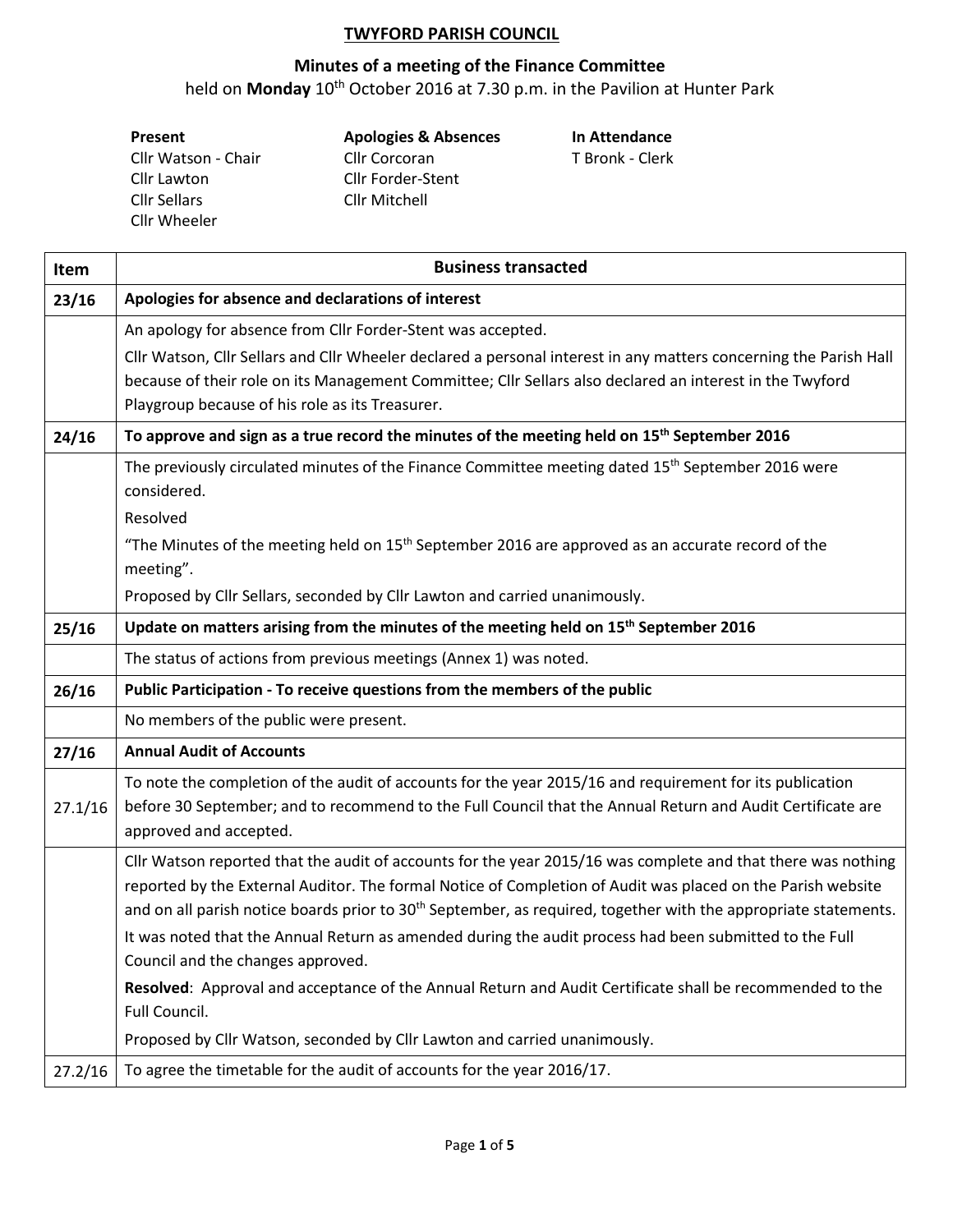## **TWYFORD PARISH COUNCIL**

## **Minutes of a meeting of the Finance Committee**

held on **Monday** 10th October 2016 at 7.30 p.m. in the Pavilion at Hunter Park

| Present             |  |  |  |
|---------------------|--|--|--|
| Cllr Watson - Chair |  |  |  |
| Cllr Lawton         |  |  |  |
| <b>Cllr Sellars</b> |  |  |  |
| Cllr Wheeler        |  |  |  |

**Present Apologies & Absences In Attendance** Cllr Corcoran T Bronk - Clerk Cllr Forder-Stent Cllr Mitchell

| Item    | <b>Business transacted</b>                                                                                                                                                                                                                                                                                                                                 |  |  |  |  |  |  |
|---------|------------------------------------------------------------------------------------------------------------------------------------------------------------------------------------------------------------------------------------------------------------------------------------------------------------------------------------------------------------|--|--|--|--|--|--|
| 23/16   | Apologies for absence and declarations of interest                                                                                                                                                                                                                                                                                                         |  |  |  |  |  |  |
|         | An apology for absence from Cllr Forder-Stent was accepted.                                                                                                                                                                                                                                                                                                |  |  |  |  |  |  |
|         | Cllr Watson, Cllr Sellars and Cllr Wheeler declared a personal interest in any matters concerning the Parish Hall                                                                                                                                                                                                                                          |  |  |  |  |  |  |
|         | because of their role on its Management Committee; Cllr Sellars also declared an interest in the Twyford                                                                                                                                                                                                                                                   |  |  |  |  |  |  |
|         | Playgroup because of his role as its Treasurer.                                                                                                                                                                                                                                                                                                            |  |  |  |  |  |  |
| 24/16   | To approve and sign as a true record the minutes of the meeting held on 15 <sup>th</sup> September 2016                                                                                                                                                                                                                                                    |  |  |  |  |  |  |
|         | The previously circulated minutes of the Finance Committee meeting dated 15 <sup>th</sup> September 2016 were<br>considered.                                                                                                                                                                                                                               |  |  |  |  |  |  |
|         | Resolved                                                                                                                                                                                                                                                                                                                                                   |  |  |  |  |  |  |
|         | "The Minutes of the meeting held on 15 <sup>th</sup> September 2016 are approved as an accurate record of the<br>meeting".                                                                                                                                                                                                                                 |  |  |  |  |  |  |
|         | Proposed by Cllr Sellars, seconded by Cllr Lawton and carried unanimously.                                                                                                                                                                                                                                                                                 |  |  |  |  |  |  |
| 25/16   | Update on matters arising from the minutes of the meeting held on 15 <sup>th</sup> September 2016                                                                                                                                                                                                                                                          |  |  |  |  |  |  |
|         | The status of actions from previous meetings (Annex 1) was noted.                                                                                                                                                                                                                                                                                          |  |  |  |  |  |  |
| 26/16   | Public Participation - To receive questions from the members of the public                                                                                                                                                                                                                                                                                 |  |  |  |  |  |  |
|         | No members of the public were present.                                                                                                                                                                                                                                                                                                                     |  |  |  |  |  |  |
| 27/16   | <b>Annual Audit of Accounts</b>                                                                                                                                                                                                                                                                                                                            |  |  |  |  |  |  |
| 27.1/16 | To note the completion of the audit of accounts for the year 2015/16 and requirement for its publication<br>before 30 September; and to recommend to the Full Council that the Annual Return and Audit Certificate are<br>approved and accepted.                                                                                                           |  |  |  |  |  |  |
|         | Cllr Watson reported that the audit of accounts for the year 2015/16 was complete and that there was nothing<br>reported by the External Auditor. The formal Notice of Completion of Audit was placed on the Parish website<br>and on all parish notice boards prior to 30 <sup>th</sup> September, as required, together with the appropriate statements. |  |  |  |  |  |  |
|         | It was noted that the Annual Return as amended during the audit process had been submitted to the Full<br>Council and the changes approved.                                                                                                                                                                                                                |  |  |  |  |  |  |
|         | Resolved: Approval and acceptance of the Annual Return and Audit Certificate shall be recommended to the<br>Full Council.                                                                                                                                                                                                                                  |  |  |  |  |  |  |
|         | Proposed by Cllr Watson, seconded by Cllr Lawton and carried unanimously.                                                                                                                                                                                                                                                                                  |  |  |  |  |  |  |
| 27.2/16 | To agree the timetable for the audit of accounts for the year 2016/17.                                                                                                                                                                                                                                                                                     |  |  |  |  |  |  |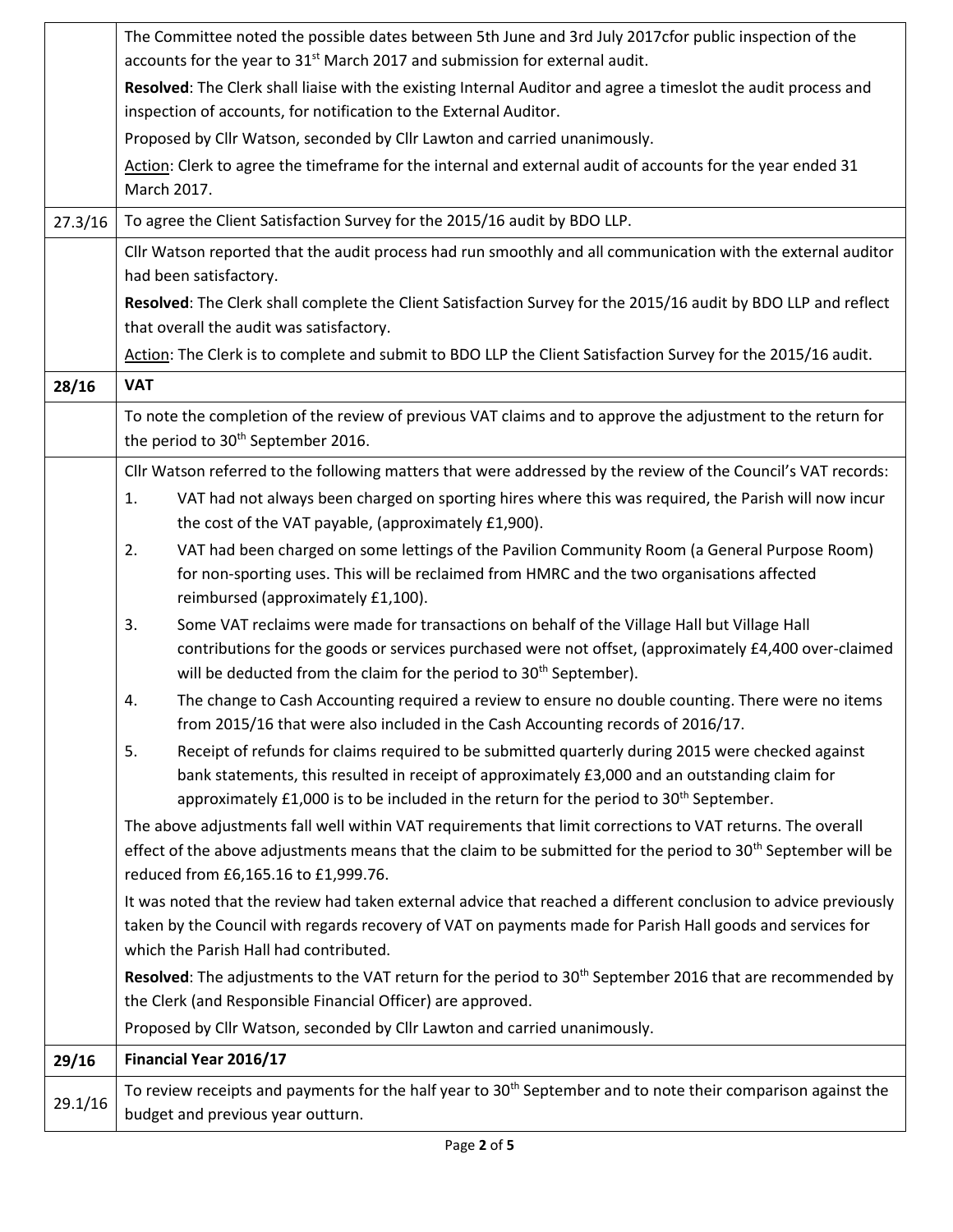|         | The Committee noted the possible dates between 5th June and 3rd July 2017cfor public inspection of the<br>accounts for the year to 31 <sup>st</sup> March 2017 and submission for external audit.                                                                                                               |  |  |  |  |  |  |
|---------|-----------------------------------------------------------------------------------------------------------------------------------------------------------------------------------------------------------------------------------------------------------------------------------------------------------------|--|--|--|--|--|--|
|         | Resolved: The Clerk shall liaise with the existing Internal Auditor and agree a timeslot the audit process and                                                                                                                                                                                                  |  |  |  |  |  |  |
|         | inspection of accounts, for notification to the External Auditor.                                                                                                                                                                                                                                               |  |  |  |  |  |  |
|         | Proposed by Cllr Watson, seconded by Cllr Lawton and carried unanimously.                                                                                                                                                                                                                                       |  |  |  |  |  |  |
|         | Action: Clerk to agree the timeframe for the internal and external audit of accounts for the year ended 31<br>March 2017.                                                                                                                                                                                       |  |  |  |  |  |  |
| 27.3/16 | To agree the Client Satisfaction Survey for the 2015/16 audit by BDO LLP.                                                                                                                                                                                                                                       |  |  |  |  |  |  |
|         | Cllr Watson reported that the audit process had run smoothly and all communication with the external auditor<br>had been satisfactory.                                                                                                                                                                          |  |  |  |  |  |  |
|         | Resolved: The Clerk shall complete the Client Satisfaction Survey for the 2015/16 audit by BDO LLP and reflect<br>that overall the audit was satisfactory.                                                                                                                                                      |  |  |  |  |  |  |
|         | Action: The Clerk is to complete and submit to BDO LLP the Client Satisfaction Survey for the 2015/16 audit.                                                                                                                                                                                                    |  |  |  |  |  |  |
| 28/16   | <b>VAT</b>                                                                                                                                                                                                                                                                                                      |  |  |  |  |  |  |
|         | To note the completion of the review of previous VAT claims and to approve the adjustment to the return for<br>the period to 30 <sup>th</sup> September 2016.                                                                                                                                                   |  |  |  |  |  |  |
|         | Cllr Watson referred to the following matters that were addressed by the review of the Council's VAT records:                                                                                                                                                                                                   |  |  |  |  |  |  |
|         | VAT had not always been charged on sporting hires where this was required, the Parish will now incur<br>1.<br>the cost of the VAT payable, (approximately £1,900).                                                                                                                                              |  |  |  |  |  |  |
|         | VAT had been charged on some lettings of the Pavilion Community Room (a General Purpose Room)<br>2.<br>for non-sporting uses. This will be reclaimed from HMRC and the two organisations affected<br>reimbursed (approximately £1,100).                                                                         |  |  |  |  |  |  |
|         | Some VAT reclaims were made for transactions on behalf of the Village Hall but Village Hall<br>3.<br>contributions for the goods or services purchased were not offset, (approximately £4,400 over-claimed<br>will be deducted from the claim for the period to 30 <sup>th</sup> September).                    |  |  |  |  |  |  |
|         | The change to Cash Accounting required a review to ensure no double counting. There were no items<br>4.<br>from 2015/16 that were also included in the Cash Accounting records of 2016/17.                                                                                                                      |  |  |  |  |  |  |
|         | 5.<br>Receipt of refunds for claims required to be submitted quarterly during 2015 were checked against<br>bank statements, this resulted in receipt of approximately £3,000 and an outstanding claim for<br>approximately £1,000 is to be included in the return for the period to 30 <sup>th</sup> September. |  |  |  |  |  |  |
|         | The above adjustments fall well within VAT requirements that limit corrections to VAT returns. The overall<br>effect of the above adjustments means that the claim to be submitted for the period to 30 <sup>th</sup> September will be<br>reduced from £6,165.16 to £1,999.76.                                 |  |  |  |  |  |  |
|         | It was noted that the review had taken external advice that reached a different conclusion to advice previously<br>taken by the Council with regards recovery of VAT on payments made for Parish Hall goods and services for<br>which the Parish Hall had contributed.                                          |  |  |  |  |  |  |
|         | Resolved: The adjustments to the VAT return for the period to 30 <sup>th</sup> September 2016 that are recommended by                                                                                                                                                                                           |  |  |  |  |  |  |
|         | the Clerk (and Responsible Financial Officer) are approved.                                                                                                                                                                                                                                                     |  |  |  |  |  |  |
|         | Proposed by Cllr Watson, seconded by Cllr Lawton and carried unanimously.                                                                                                                                                                                                                                       |  |  |  |  |  |  |
| 29/16   | Financial Year 2016/17                                                                                                                                                                                                                                                                                          |  |  |  |  |  |  |
| 29.1/16 | To review receipts and payments for the half year to 30 <sup>th</sup> September and to note their comparison against the<br>budget and previous year outturn.                                                                                                                                                   |  |  |  |  |  |  |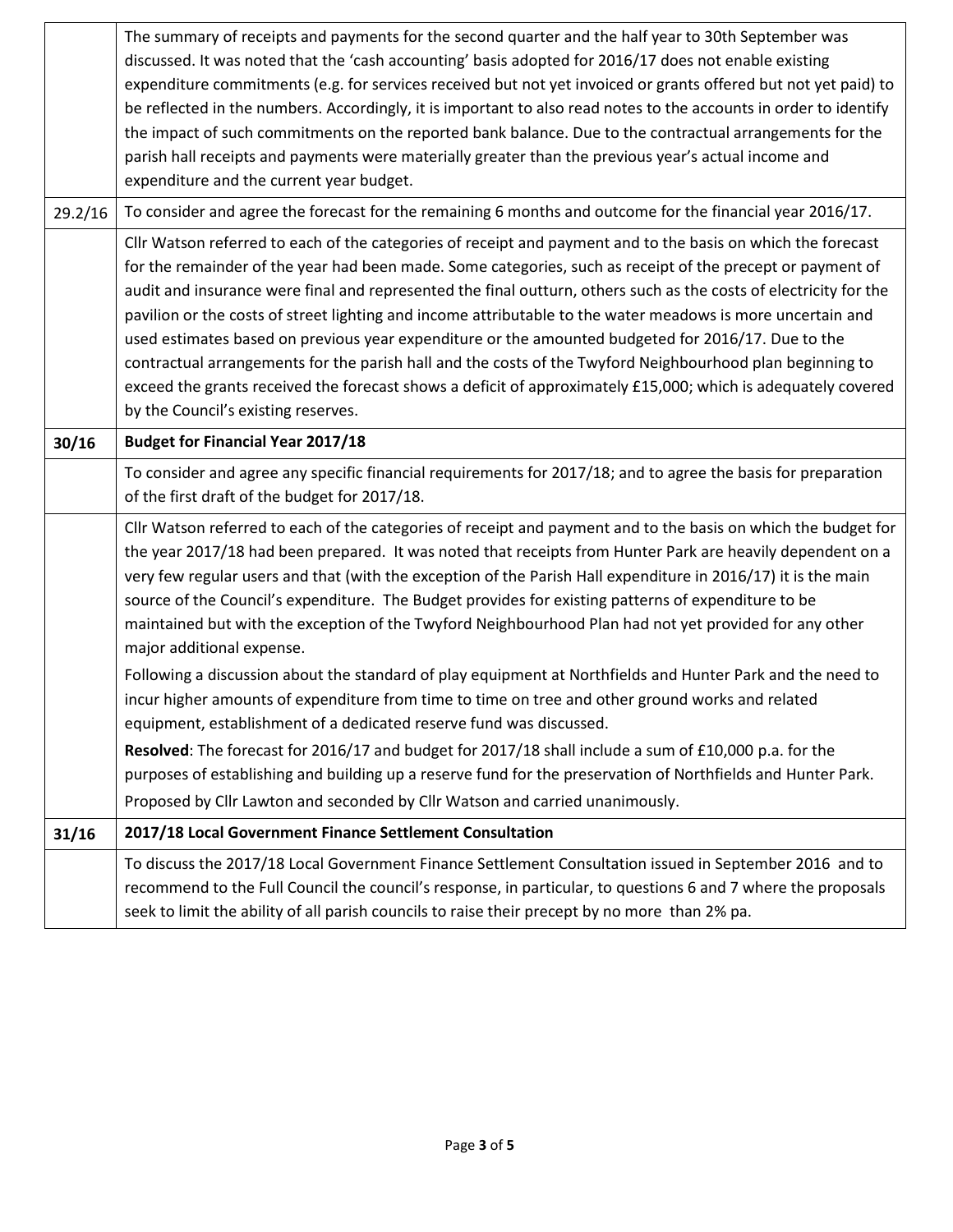|         | The summary of receipts and payments for the second quarter and the half year to 30th September was<br>discussed. It was noted that the 'cash accounting' basis adopted for 2016/17 does not enable existing<br>expenditure commitments (e.g. for services received but not yet invoiced or grants offered but not yet paid) to<br>be reflected in the numbers. Accordingly, it is important to also read notes to the accounts in order to identify<br>the impact of such commitments on the reported bank balance. Due to the contractual arrangements for the                                                                                                                                                                                                                                                                                                                                                                                                                                                                                                                                              |  |  |  |  |
|---------|---------------------------------------------------------------------------------------------------------------------------------------------------------------------------------------------------------------------------------------------------------------------------------------------------------------------------------------------------------------------------------------------------------------------------------------------------------------------------------------------------------------------------------------------------------------------------------------------------------------------------------------------------------------------------------------------------------------------------------------------------------------------------------------------------------------------------------------------------------------------------------------------------------------------------------------------------------------------------------------------------------------------------------------------------------------------------------------------------------------|--|--|--|--|
|         | parish hall receipts and payments were materially greater than the previous year's actual income and<br>expenditure and the current year budget.                                                                                                                                                                                                                                                                                                                                                                                                                                                                                                                                                                                                                                                                                                                                                                                                                                                                                                                                                              |  |  |  |  |
| 29.2/16 | To consider and agree the forecast for the remaining 6 months and outcome for the financial year 2016/17.                                                                                                                                                                                                                                                                                                                                                                                                                                                                                                                                                                                                                                                                                                                                                                                                                                                                                                                                                                                                     |  |  |  |  |
|         | Cllr Watson referred to each of the categories of receipt and payment and to the basis on which the forecast<br>for the remainder of the year had been made. Some categories, such as receipt of the precept or payment of<br>audit and insurance were final and represented the final outturn, others such as the costs of electricity for the<br>pavilion or the costs of street lighting and income attributable to the water meadows is more uncertain and<br>used estimates based on previous year expenditure or the amounted budgeted for 2016/17. Due to the<br>contractual arrangements for the parish hall and the costs of the Twyford Neighbourhood plan beginning to<br>exceed the grants received the forecast shows a deficit of approximately £15,000; which is adequately covered<br>by the Council's existing reserves.                                                                                                                                                                                                                                                                     |  |  |  |  |
| 30/16   | <b>Budget for Financial Year 2017/18</b>                                                                                                                                                                                                                                                                                                                                                                                                                                                                                                                                                                                                                                                                                                                                                                                                                                                                                                                                                                                                                                                                      |  |  |  |  |
|         | To consider and agree any specific financial requirements for 2017/18; and to agree the basis for preparation<br>of the first draft of the budget for 2017/18.                                                                                                                                                                                                                                                                                                                                                                                                                                                                                                                                                                                                                                                                                                                                                                                                                                                                                                                                                |  |  |  |  |
|         | Cllr Watson referred to each of the categories of receipt and payment and to the basis on which the budget for<br>the year 2017/18 had been prepared. It was noted that receipts from Hunter Park are heavily dependent on a<br>very few regular users and that (with the exception of the Parish Hall expenditure in 2016/17) it is the main<br>source of the Council's expenditure. The Budget provides for existing patterns of expenditure to be<br>maintained but with the exception of the Twyford Neighbourhood Plan had not yet provided for any other<br>major additional expense.<br>Following a discussion about the standard of play equipment at Northfields and Hunter Park and the need to<br>incur higher amounts of expenditure from time to time on tree and other ground works and related<br>equipment, establishment of a dedicated reserve fund was discussed.<br>Resolved: The forecast for 2016/17 and budget for 2017/18 shall include a sum of £10,000 p.a. for the<br>purposes of establishing and building up a reserve fund for the preservation of Northfields and Hunter Park. |  |  |  |  |
| 31/16   | Proposed by Cllr Lawton and seconded by Cllr Watson and carried unanimously.<br>2017/18 Local Government Finance Settlement Consultation                                                                                                                                                                                                                                                                                                                                                                                                                                                                                                                                                                                                                                                                                                                                                                                                                                                                                                                                                                      |  |  |  |  |
|         | To discuss the 2017/18 Local Government Finance Settlement Consultation issued in September 2016 and to                                                                                                                                                                                                                                                                                                                                                                                                                                                                                                                                                                                                                                                                                                                                                                                                                                                                                                                                                                                                       |  |  |  |  |
|         | recommend to the Full Council the council's response, in particular, to questions 6 and 7 where the proposals<br>seek to limit the ability of all parish councils to raise their precept by no more than 2% pa.                                                                                                                                                                                                                                                                                                                                                                                                                                                                                                                                                                                                                                                                                                                                                                                                                                                                                               |  |  |  |  |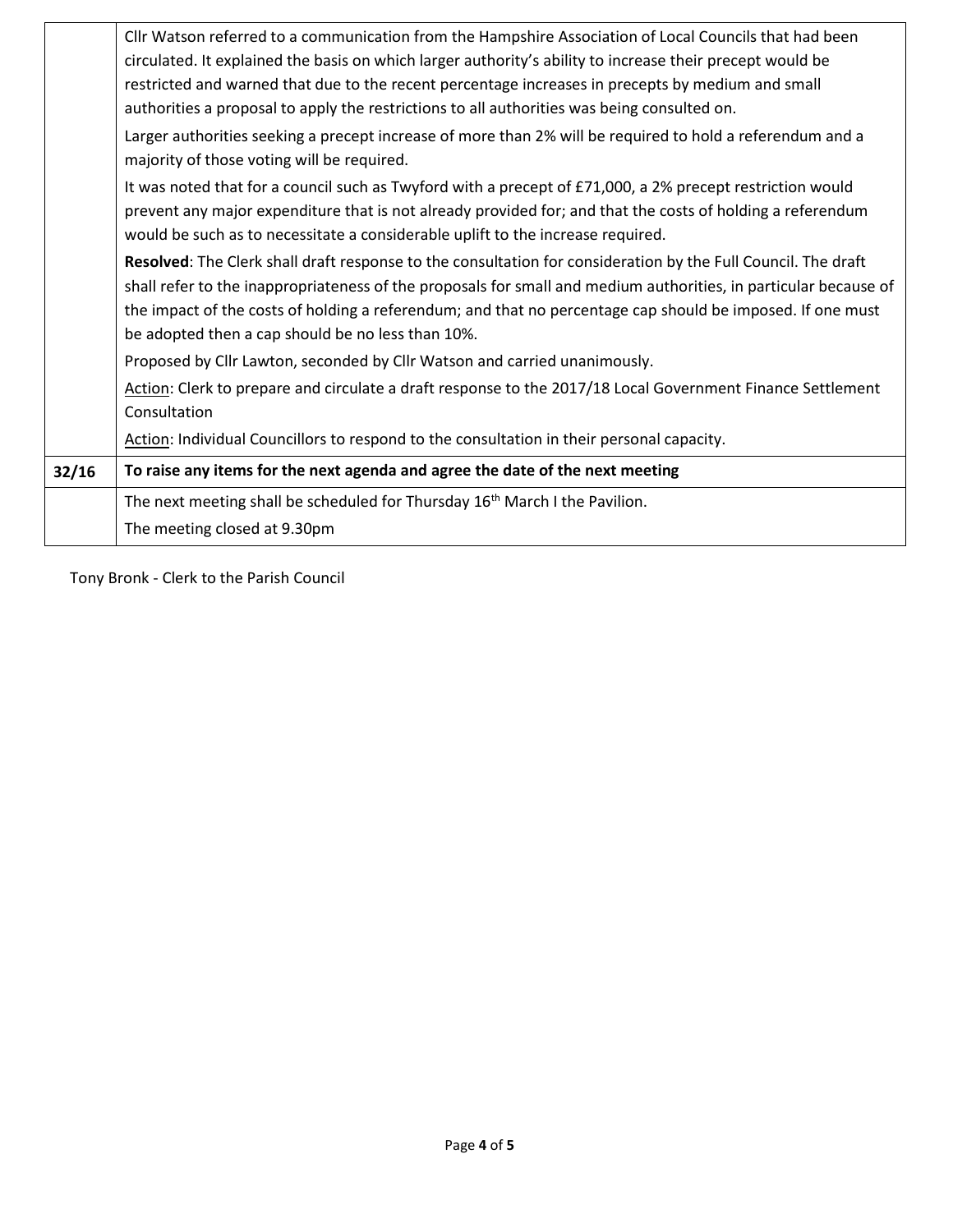|       | Cllr Watson referred to a communication from the Hampshire Association of Local Councils that had been           |
|-------|------------------------------------------------------------------------------------------------------------------|
|       | circulated. It explained the basis on which larger authority's ability to increase their precept would be        |
|       | restricted and warned that due to the recent percentage increases in precepts by medium and small                |
|       | authorities a proposal to apply the restrictions to all authorities was being consulted on.                      |
|       | Larger authorities seeking a precept increase of more than 2% will be required to hold a referendum and a        |
|       | majority of those voting will be required.                                                                       |
|       | It was noted that for a council such as Twyford with a precept of £71,000, a 2% precept restriction would        |
|       | prevent any major expenditure that is not already provided for; and that the costs of holding a referendum       |
|       | would be such as to necessitate a considerable uplift to the increase required.                                  |
|       | Resolved: The Clerk shall draft response to the consultation for consideration by the Full Council. The draft    |
|       | shall refer to the inappropriateness of the proposals for small and medium authorities, in particular because of |
|       | the impact of the costs of holding a referendum; and that no percentage cap should be imposed. If one must       |
|       | be adopted then a cap should be no less than 10%.                                                                |
|       | Proposed by Cllr Lawton, seconded by Cllr Watson and carried unanimously.                                        |
|       | Action: Clerk to prepare and circulate a draft response to the 2017/18 Local Government Finance Settlement       |
|       | Consultation                                                                                                     |
|       | Action: Individual Councillors to respond to the consultation in their personal capacity.                        |
| 32/16 | To raise any items for the next agenda and agree the date of the next meeting                                    |
|       | The next meeting shall be scheduled for Thursday 16 <sup>th</sup> March I the Pavilion.                          |
|       | The meeting closed at 9.30pm                                                                                     |

Tony Bronk - Clerk to the Parish Council